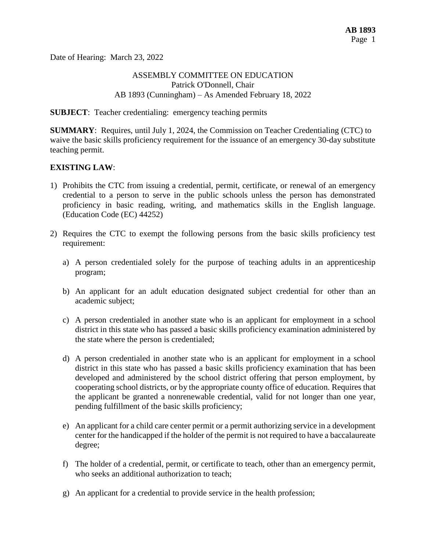Date of Hearing: March 23, 2022

### ASSEMBLY COMMITTEE ON EDUCATION Patrick O'Donnell, Chair AB 1893 (Cunningham) – As Amended February 18, 2022

#### **SUBJECT**: Teacher credentialing: emergency teaching permits

**SUMMARY**: Requires, until July 1, 2024, the Commission on Teacher Credentialing (CTC) to waive the basic skills proficiency requirement for the issuance of an emergency 30-day substitute teaching permit.

#### **EXISTING LAW**:

- 1) Prohibits the CTC from issuing a credential, permit, certificate, or renewal of an emergency credential to a person to serve in the public schools unless the person has demonstrated proficiency in basic reading, writing, and mathematics skills in the English language. (Education Code (EC) 44252)
- 2) Requires the CTC to exempt the following persons from the basic skills proficiency test requirement:
	- a) A person credentialed solely for the purpose of teaching adults in an apprenticeship program;
	- b) An applicant for an adult education designated subject credential for other than an academic subject;
	- c) A person credentialed in another state who is an applicant for employment in a school district in this state who has passed a basic skills proficiency examination administered by the state where the person is credentialed;
	- d) A person credentialed in another state who is an applicant for employment in a school district in this state who has passed a basic skills proficiency examination that has been developed and administered by the school district offering that person employment, by cooperating school districts, or by the appropriate county office of education. Requires that the applicant be granted a nonrenewable credential, valid for not longer than one year, pending fulfillment of the basic skills proficiency;
	- e) An applicant for a child care center permit or a permit authorizing service in a development center for the handicapped if the holder of the permit is not required to have a baccalaureate degree;
	- f) The holder of a credential, permit, or certificate to teach, other than an emergency permit, who seeks an additional authorization to teach;
	- g) An applicant for a credential to provide service in the health profession;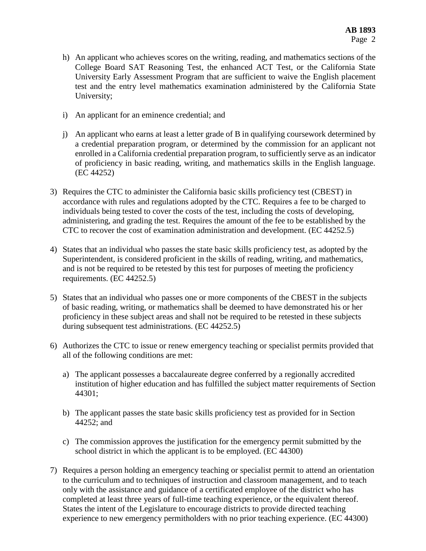- h) An applicant who achieves scores on the writing, reading, and mathematics sections of the College Board SAT Reasoning Test, the enhanced ACT Test, or the California State University Early Assessment Program that are sufficient to waive the English placement test and the entry level mathematics examination administered by the California State University;
- i) An applicant for an eminence credential; and
- j) An applicant who earns at least a letter grade of B in qualifying coursework determined by a credential preparation program, or determined by the commission for an applicant not enrolled in a California credential preparation program, to sufficiently serve as an indicator of proficiency in basic reading, writing, and mathematics skills in the English language. (EC 44252)
- 3) Requires the CTC to administer the California basic skills proficiency test (CBEST) in accordance with rules and regulations adopted by the CTC. Requires a fee to be charged to individuals being tested to cover the costs of the test, including the costs of developing, administering, and grading the test. Requires the amount of the fee to be established by the CTC to recover the cost of examination administration and development. (EC 44252.5)
- 4) States that an individual who passes the state basic skills proficiency test, as adopted by the Superintendent, is considered proficient in the skills of reading, writing, and mathematics, and is not be required to be retested by this test for purposes of meeting the proficiency requirements. (EC 44252.5)
- 5) States that an individual who passes one or more components of the CBEST in the subjects of basic reading, writing, or mathematics shall be deemed to have demonstrated his or her proficiency in these subject areas and shall not be required to be retested in these subjects during subsequent test administrations. (EC 44252.5)
- 6) Authorizes the CTC to issue or renew emergency teaching or specialist permits provided that all of the following conditions are met:
	- a) The applicant possesses a baccalaureate degree conferred by a regionally accredited institution of higher education and has fulfilled the subject matter requirements of Section 44301;
	- b) The applicant passes the state basic skills proficiency test as provided for in Section 44252; and
	- c) The commission approves the justification for the emergency permit submitted by the school district in which the applicant is to be employed. (EC 44300)
- 7) Requires a person holding an emergency teaching or specialist permit to attend an orientation to the curriculum and to techniques of instruction and classroom management, and to teach only with the assistance and guidance of a certificated employee of the district who has completed at least three years of full-time teaching experience, or the equivalent thereof. States the intent of the Legislature to encourage districts to provide directed teaching experience to new emergency permitholders with no prior teaching experience. (EC 44300)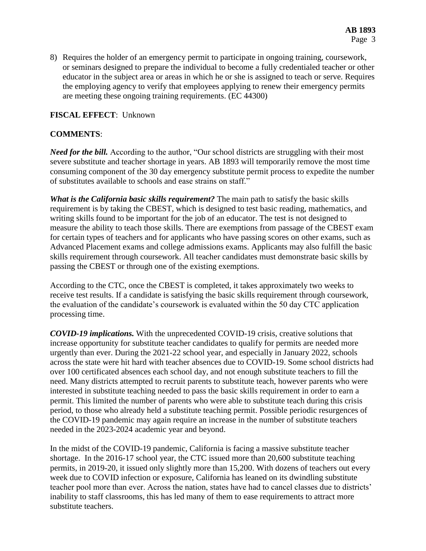8) Requires the holder of an emergency permit to participate in ongoing training, coursework, or seminars designed to prepare the individual to become a fully credentialed teacher or other educator in the subject area or areas in which he or she is assigned to teach or serve. Requires the employing agency to verify that employees applying to renew their emergency permits are meeting these ongoing training requirements. (EC 44300)

## **FISCAL EFFECT**: Unknown

# **COMMENTS**:

*Need for the bill.* According to the author, "Our school districts are struggling with their most severe substitute and teacher shortage in years. AB 1893 will temporarily remove the most time consuming component of the 30 day emergency substitute permit process to expedite the number of substitutes available to schools and ease strains on staff."

*What is the California basic skills requirement?* The main path to satisfy the basic skills requirement is by taking the CBEST, which is designed to test basic reading, mathematics, and writing skills found to be important for the job of an educator. The test is not designed to measure the ability to teach those skills. There are exemptions from passage of the CBEST exam for certain types of teachers and for applicants who have passing scores on other exams, such as Advanced Placement exams and college admissions exams. Applicants may also fulfill the basic skills requirement through coursework. All teacher candidates must demonstrate basic skills by passing the CBEST or through one of the existing exemptions.

According to the CTC, once the CBEST is completed, it takes approximately two weeks to receive test results. If a candidate is satisfying the basic skills requirement through coursework, the evaluation of the candidate's coursework is evaluated within the 50 day CTC application processing time.

*COVID-19 implications.* With the unprecedented COVID-19 crisis, creative solutions that increase opportunity for substitute teacher candidates to qualify for permits are needed more urgently than ever. During the 2021-22 school year, and especially in January 2022, schools across the state were hit hard with teacher absences due to COVID-19. Some school districts had over 100 certificated absences each school day, and not enough substitute teachers to fill the need. Many districts attempted to recruit parents to substitute teach, however parents who were interested in substitute teaching needed to pass the basic skills requirement in order to earn a permit. This limited the number of parents who were able to substitute teach during this crisis period, to those who already held a substitute teaching permit. Possible periodic resurgences of the COVID-19 pandemic may again require an increase in the number of substitute teachers needed in the 2023-2024 academic year and beyond.

In the midst of the COVID-19 pandemic, California is facing a massive substitute teacher shortage. In the 2016-17 school year, the CTC issued more than 20,600 substitute teaching permits, in 2019-20, it issued only slightly more than 15,200. With dozens of teachers out every week due to COVID infection or exposure, California has leaned on its dwindling substitute teacher pool more than ever. Across the nation, states have had to cancel classes due to districts' inability to staff classrooms, this has led many of them to ease requirements to attract more substitute teachers.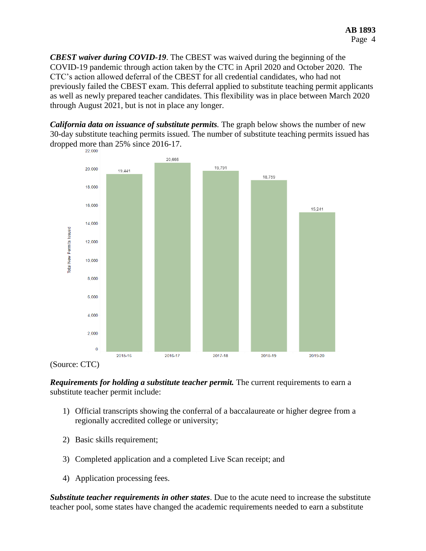*CBEST waiver during COVID-19*. The CBEST was waived during the beginning of the COVID-19 pandemic through action taken by the CTC in April 2020 and October 2020. The CTC's action allowed deferral of the CBEST for all credential candidates, who had not previously failed the CBEST exam. This deferral applied to substitute teaching permit applicants as well as newly prepared teacher candidates. This flexibility was in place between March 2020 through August 2021, but is not in place any longer.

*California data on issuance of substitute permits.* The graph below shows the number of new 30-day substitute teaching permits issued. The number of substitute teaching permits issued has dropped more than 25% since 2016-17.





*Requirements for holding a substitute teacher permit.* The current requirements to earn a substitute teacher permit include:

- 1) Official transcripts showing the conferral of a baccalaureate or higher degree from a regionally accredited college or university;
- 2) Basic skills requirement;
- 3) Completed application and a completed Live Scan receipt; and
- 4) Application processing fees.

*Substitute teacher requirements in other states*. Due to the acute need to increase the substitute teacher pool, some states have changed the academic requirements needed to earn a substitute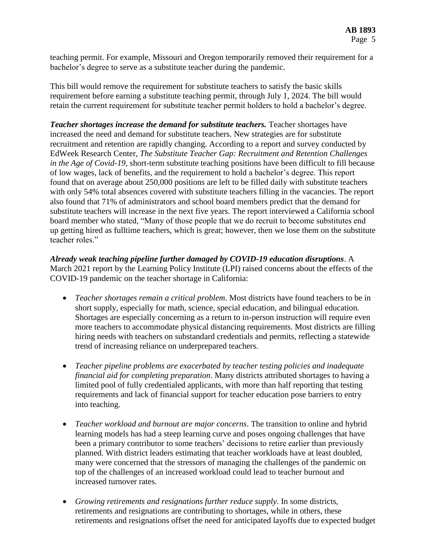teaching permit. For example, Missouri and Oregon temporarily removed their requirement for a bachelor's degree to serve as a substitute teacher during the pandemic.

This bill would remove the requirement for substitute teachers to satisfy the basic skills requirement before earning a substitute teaching permit, through July 1, 2024. The bill would retain the current requirement for substitute teacher permit holders to hold a bachelor's degree.

*Teacher shortages increase the demand for substitute teachers.* Teacher shortages have increased the need and demand for substitute teachers. New strategies are for substitute recruitment and retention are rapidly changing. According to a report and survey conducted by EdWeek Research Center, *The Substitute Teacher Gap: Recruitment and Retention Challenges in the Age of Covid-19,* short-term substitute teaching positions have been difficult to fill because of low wages, lack of benefits, and the requirement to hold a bachelor's degree. This report found that on average about 250,000 positions are left to be filled daily with substitute teachers with only 54% total absences covered with substitute teachers filling in the vacancies. The report also found that 71% of administrators and school board members predict that the demand for substitute teachers will increase in the next five years. The report interviewed a California school board member who stated, "Many of those people that we do recruit to become substitutes end up getting hired as fulltime teachers, which is great; however, then we lose them on the substitute teacher roles."

*Already weak teaching pipeline further damaged by COVID-19 education disruptions*. A March 2021 report by the Learning Policy Institute (LPI) raised concerns about the effects of the COVID-19 pandemic on the teacher shortage in California:

- *Teacher shortages remain a critical problem*. Most districts have found teachers to be in short supply, especially for math, science, special education, and bilingual education. Shortages are especially concerning as a return to in-person instruction will require even more teachers to accommodate physical distancing requirements. Most districts are filling hiring needs with teachers on substandard credentials and permits, reflecting a statewide trend of increasing reliance on underprepared teachers.
- *Teacher pipeline problems are exacerbated by teacher testing policies and inadequate financial aid for completing preparation*. Many districts attributed shortages to having a limited pool of fully credentialed applicants, with more than half reporting that testing requirements and lack of financial support for teacher education pose barriers to entry into teaching.
- *Teacher workload and burnout are major concerns*. The transition to online and hybrid learning models has had a steep learning curve and poses ongoing challenges that have been a primary contributor to some teachers' decisions to retire earlier than previously planned. With district leaders estimating that teacher workloads have at least doubled, many were concerned that the stressors of managing the challenges of the pandemic on top of the challenges of an increased workload could lead to teacher burnout and increased turnover rates.
- *Growing retirements and resignations further reduce supply*. In some districts, retirements and resignations are contributing to shortages, while in others, these retirements and resignations offset the need for anticipated layoffs due to expected budget